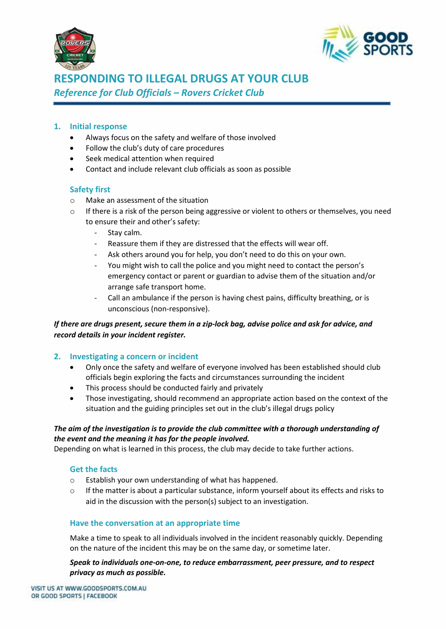



# **RESPONDING TO ILLEGAL DRUGS AT YOUR CLUB** *Reference for Club Officials – Rovers Cricket Club*

# **1. Initial response**

- Always focus on the safety and welfare of those involved
- Follow the club's duty of care procedures
- Seek medical attention when required
- Contact and include relevant club officials as soon as possible

# **Safety first**

- o Make an assessment of the situation
- $\circ$  If there is a risk of the person being aggressive or violent to others or themselves, you need to ensure their and other's safety:
	- Stay calm.
	- Reassure them if they are distressed that the effects will wear off.
	- Ask others around you for help, you don't need to do this on your own.
	- You might wish to call the police and you might need to contact the person's emergency contact or parent or guardian to advise them of the situation and/or arrange safe transport home.
	- Call an ambulance if the person is having chest pains, difficulty breathing, or is unconscious (non-responsive).

# *If there are drugs present, secure them in a zip-lock bag, advise police and ask for advice, and record details in your incident register.*

## **2. Investigating a concern or incident**

- Only once the safety and welfare of everyone involved has been established should club officials begin exploring the facts and circumstances surrounding the incident
- This process should be conducted fairly and privately
- Those investigating, should recommend an appropriate action based on the context of the situation and the guiding principles set out in the club's illegal drugs policy

## *The aim of the investigation is to provide the club committee with a thorough understanding of the event and the meaning it has for the people involved.*

Depending on what is learned in this process, the club may decide to take further actions.

## **Get the facts**

- o Establish your own understanding of what has happened.
- o If the matter is about a particular substance, inform yourself about its effects and risks to aid in the discussion with the person(s) subject to an investigation.

## **Have the conversation at an appropriate time**

Make a time to speak to all individuals involved in the incident reasonably quickly. Depending on the nature of the incident this may be on the same day, or sometime later.

*Speak to individuals one-on-one, to reduce embarrassment, peer pressure, and to respect privacy as much as possible.*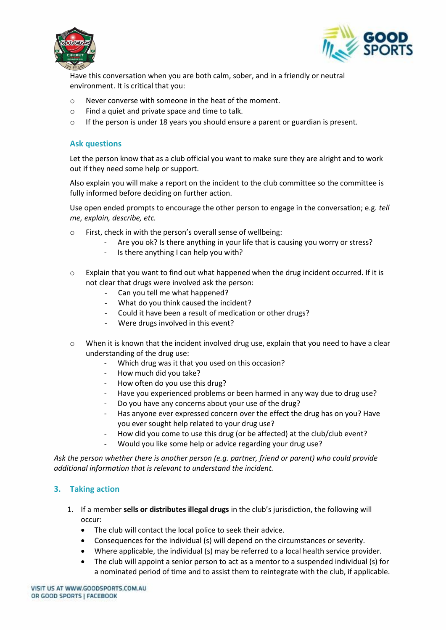



Have this conversation when you are both calm, sober, and in a friendly or neutral environment. It is critical that you:

- o Never converse with someone in the heat of the moment.
- o Find a quiet and private space and time to talk.
- $\circ$  If the person is under 18 years you should ensure a parent or guardian is present.

#### **Ask questions**

Let the person know that as a club official you want to make sure they are alright and to work out if they need some help or support.

Also explain you will make a report on the incident to the club committee so the committee is fully informed before deciding on further action.

Use open ended prompts to encourage the other person to engage in the conversation; e.g. *tell me, explain, describe, etc.* 

- o First, check in with the person's overall sense of wellbeing:
	- Are you ok? Is there anything in your life that is causing you worry or stress?
	- Is there anything I can help you with?
- $\circ$  Explain that you want to find out what happened when the drug incident occurred. If it is not clear that drugs were involved ask the person:
	- Can you tell me what happened?
	- What do you think caused the incident?
	- Could it have been a result of medication or other drugs?
	- Were drugs involved in this event?
- o When it is known that the incident involved drug use, explain that you need to have a clear understanding of the drug use:
	- Which drug was it that you used on this occasion?
	- How much did you take?
	- How often do you use this drug?
	- Have you experienced problems or been harmed in any way due to drug use?
	- Do you have any concerns about your use of the drug?
	- Has anyone ever expressed concern over the effect the drug has on you? Have you ever sought help related to your drug use?
	- How did you come to use this drug (or be affected) at the club/club event?
	- Would you like some help or advice regarding your drug use?

*Ask the person whether there is another person (e.g. partner, friend or parent) who could provide additional information that is relevant to understand the incident.* 

## **3. Taking action**

- 1. If a member **sells or distributes illegal drugs** in the club's jurisdiction, the following will occur:
	- The club will contact the local police to seek their advice.
	- Consequences for the individual (s) will depend on the circumstances or severity.
	- Where applicable, the individual (s) may be referred to a local health service provider.
	- The club will appoint a senior person to act as a mentor to a suspended individual (s) for a nominated period of time and to assist them to reintegrate with the club, if applicable.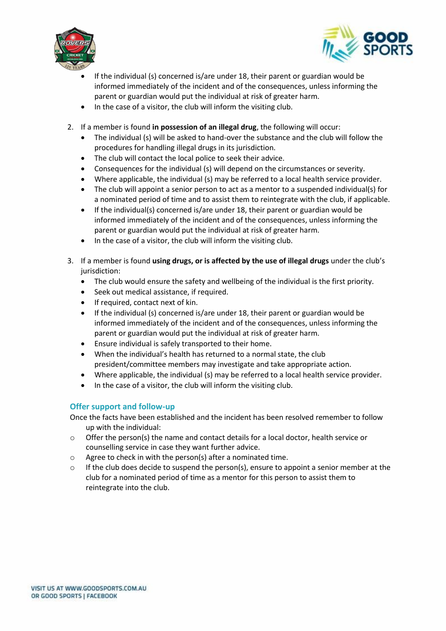



- If the individual (s) concerned is/are under 18, their parent or guardian would be informed immediately of the incident and of the consequences, unless informing the parent or guardian would put the individual at risk of greater harm.
- In the case of a visitor, the club will inform the visiting club.
- 2. If a member is found **in possession of an illegal drug**, the following will occur:
	- The individual (s) will be asked to hand-over the substance and the club will follow the procedures for handling illegal drugs in its jurisdiction.
	- The club will contact the local police to seek their advice.
	- Consequences for the individual (s) will depend on the circumstances or severity.
	- Where applicable, the individual (s) may be referred to a local health service provider.
	- The club will appoint a senior person to act as a mentor to a suspended individual(s) for a nominated period of time and to assist them to reintegrate with the club, if applicable.
	- If the individual(s) concerned is/are under 18, their parent or guardian would be informed immediately of the incident and of the consequences, unless informing the parent or guardian would put the individual at risk of greater harm.
	- In the case of a visitor, the club will inform the visiting club.
- 3. If a member is found **using drugs, or is affected by the use of illegal drugs** under the club's jurisdiction:
	- The club would ensure the safety and wellbeing of the individual is the first priority.
	- Seek out medical assistance, if required.
	- If required, contact next of kin.
	- If the individual (s) concerned is/are under 18, their parent or guardian would be informed immediately of the incident and of the consequences, unless informing the parent or guardian would put the individual at risk of greater harm.
	- Ensure individual is safely transported to their home.
	- When the individual's health has returned to a normal state, the club president/committee members may investigate and take appropriate action.
	- Where applicable, the individual (s) may be referred to a local health service provider.
	- In the case of a visitor, the club will inform the visiting club.

## **Offer support and follow-up**

- Once the facts have been established and the incident has been resolved remember to follow up with the individual:
- $\circ$  Offer the person(s) the name and contact details for a local doctor, health service or counselling service in case they want further advice.
- o Agree to check in with the person(s) after a nominated time.
- $\circ$  If the club does decide to suspend the person(s), ensure to appoint a senior member at the club for a nominated period of time as a mentor for this person to assist them to reintegrate into the club.